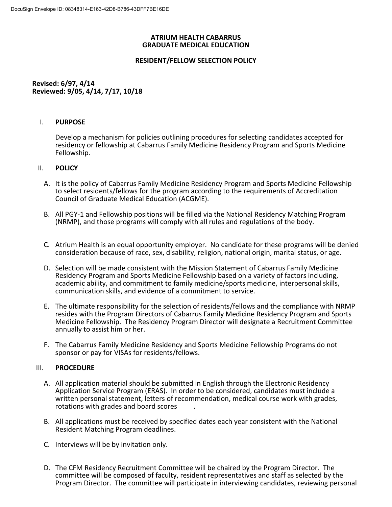### **ATRIUM HEALTH CABARRUS GRADUATE MEDICAL EDUCATION**

# **RESIDENT/FELLOW SELECTION POLICY**

## **Revised: 6/97, 4/14 Reviewed: 9/05, 4/14, 7/17, 10/18**

## I. **PURPOSE**

Develop a mechanism for policies outlining procedures for selecting candidates accepted for residency or fellowship at Cabarrus Family Medicine Residency Program and Sports Medicine Fellowship.

### II. **POLICY**

- A. It is the policy of Cabarrus Family Medicine Residency Program and Sports Medicine Fellowship to select residents/fellows for the program according to the requirements of Accreditation Council of Graduate Medical Education (ACGME).
- B. All PGY-1 and Fellowship positions will be filled via the National Residency Matching Program (NRMP), and those programs will comply with all rules and regulations of the body.
- C. Atrium Health is an equal opportunity employer. No candidate for these programs will be denied consideration because of race, sex, disability, religion, national origin, marital status, or age.
- D. Selection will be made consistent with the Mission Statement of Cabarrus Family Medicine Residency Program and Sports Medicine Fellowship based on a variety of factors including, academic ability, and commitment to family medicine/sports medicine, interpersonal skills, communication skills, and evidence of a commitment to service.
- E. The ultimate responsibility for the selection of residents/fellows and the compliance with NRMP resides with the Program Directors of Cabarrus Family Medicine Residency Program and Sports Medicine Fellowship. The Residency Program Director will designate a Recruitment Committee annually to assist him or her.
- F. The Cabarrus Family Medicine Residency and Sports Medicine Fellowship Programs do not sponsor or pay for VISAs for residents/fellows.

### III. **PROCEDURE**

- A. All application material should be submitted in English through the Electronic Residency Application Service Program (ERAS). In order to be considered, candidates must include a written personal statement, letters of recommendation, medical course work with grades, rotations with grades and board scores .
- B. All applications must be received by specified dates each year consistent with the National Resident Matching Program deadlines.
- C. Interviews will be by invitation only.
- D. The CFM Residency Recruitment Committee will be chaired by the Program Director. The committee will be composed of faculty, resident representatives and staff as selected by the Program Director. The committee will participate in interviewing candidates, reviewing personal